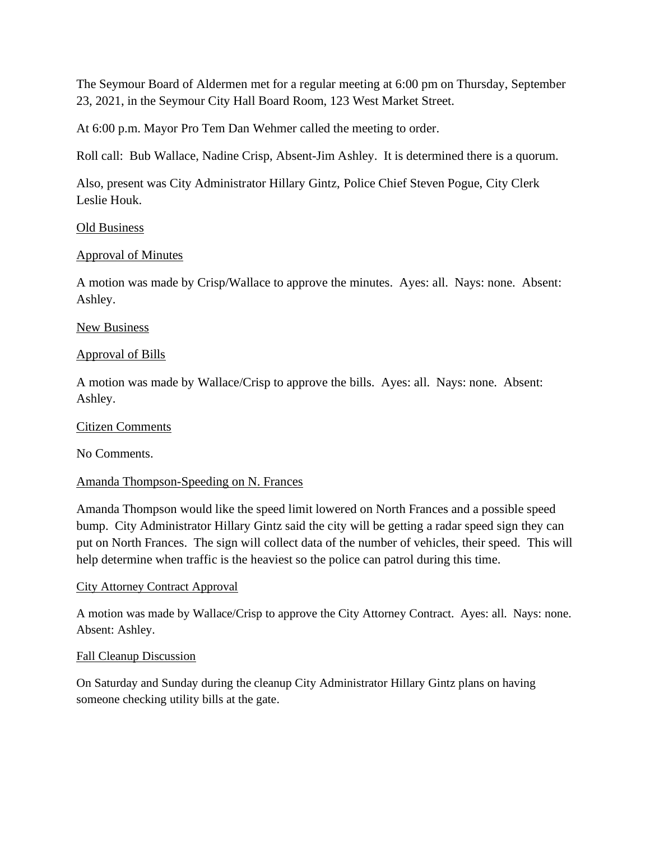The Seymour Board of Aldermen met for a regular meeting at 6:00 pm on Thursday, September 23, 2021, in the Seymour City Hall Board Room, 123 West Market Street.

At 6:00 p.m. Mayor Pro Tem Dan Wehmer called the meeting to order.

Roll call: Bub Wallace, Nadine Crisp, Absent-Jim Ashley. It is determined there is a quorum.

Also, present was City Administrator Hillary Gintz, Police Chief Steven Pogue, City Clerk Leslie Houk.

## Old Business

## Approval of Minutes

A motion was made by Crisp/Wallace to approve the minutes. Ayes: all. Nays: none. Absent: Ashley.

### New Business

### Approval of Bills

A motion was made by Wallace/Crisp to approve the bills. Ayes: all. Nays: none. Absent: Ashley.

#### Citizen Comments

No Comments.

## Amanda Thompson-Speeding on N. Frances

Amanda Thompson would like the speed limit lowered on North Frances and a possible speed bump. City Administrator Hillary Gintz said the city will be getting a radar speed sign they can put on North Frances. The sign will collect data of the number of vehicles, their speed. This will help determine when traffic is the heaviest so the police can patrol during this time.

#### City Attorney Contract Approval

A motion was made by Wallace/Crisp to approve the City Attorney Contract. Ayes: all. Nays: none. Absent: Ashley.

### Fall Cleanup Discussion

On Saturday and Sunday during the cleanup City Administrator Hillary Gintz plans on having someone checking utility bills at the gate.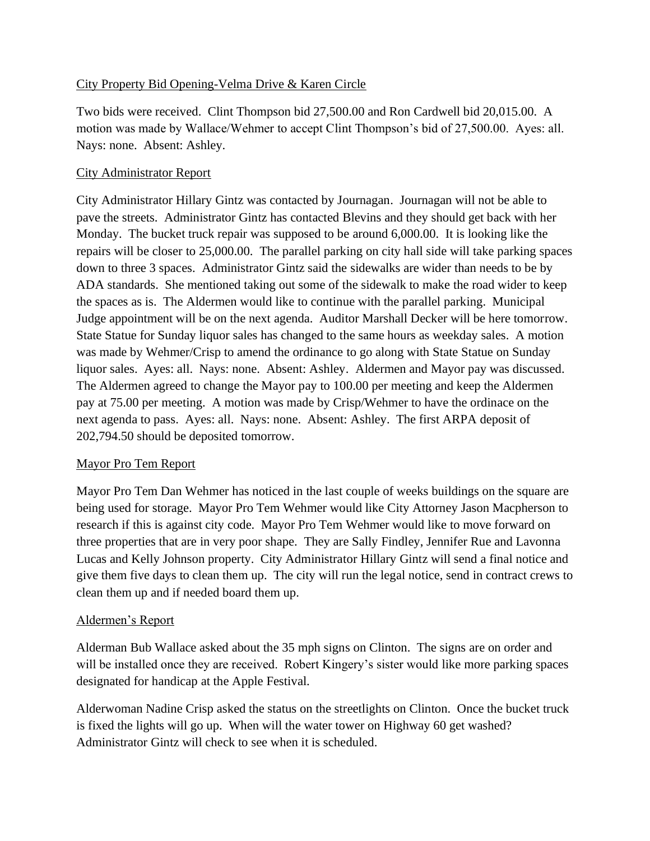# City Property Bid Opening-Velma Drive & Karen Circle

Two bids were received. Clint Thompson bid 27,500.00 and Ron Cardwell bid 20,015.00. A motion was made by Wallace/Wehmer to accept Clint Thompson's bid of 27,500.00. Ayes: all. Nays: none. Absent: Ashley.

# City Administrator Report

City Administrator Hillary Gintz was contacted by Journagan. Journagan will not be able to pave the streets. Administrator Gintz has contacted Blevins and they should get back with her Monday. The bucket truck repair was supposed to be around 6,000.00. It is looking like the repairs will be closer to 25,000.00. The parallel parking on city hall side will take parking spaces down to three 3 spaces. Administrator Gintz said the sidewalks are wider than needs to be by ADA standards. She mentioned taking out some of the sidewalk to make the road wider to keep the spaces as is. The Aldermen would like to continue with the parallel parking. Municipal Judge appointment will be on the next agenda. Auditor Marshall Decker will be here tomorrow. State Statue for Sunday liquor sales has changed to the same hours as weekday sales. A motion was made by Wehmer/Crisp to amend the ordinance to go along with State Statue on Sunday liquor sales. Ayes: all. Nays: none. Absent: Ashley. Aldermen and Mayor pay was discussed. The Aldermen agreed to change the Mayor pay to 100.00 per meeting and keep the Aldermen pay at 75.00 per meeting. A motion was made by Crisp/Wehmer to have the ordinace on the next agenda to pass. Ayes: all. Nays: none. Absent: Ashley. The first ARPA deposit of 202,794.50 should be deposited tomorrow.

# Mayor Pro Tem Report

Mayor Pro Tem Dan Wehmer has noticed in the last couple of weeks buildings on the square are being used for storage. Mayor Pro Tem Wehmer would like City Attorney Jason Macpherson to research if this is against city code. Mayor Pro Tem Wehmer would like to move forward on three properties that are in very poor shape. They are Sally Findley, Jennifer Rue and Lavonna Lucas and Kelly Johnson property. City Administrator Hillary Gintz will send a final notice and give them five days to clean them up. The city will run the legal notice, send in contract crews to clean them up and if needed board them up.

# Aldermen's Report

Alderman Bub Wallace asked about the 35 mph signs on Clinton. The signs are on order and will be installed once they are received. Robert Kingery's sister would like more parking spaces designated for handicap at the Apple Festival.

Alderwoman Nadine Crisp asked the status on the streetlights on Clinton. Once the bucket truck is fixed the lights will go up. When will the water tower on Highway 60 get washed? Administrator Gintz will check to see when it is scheduled.